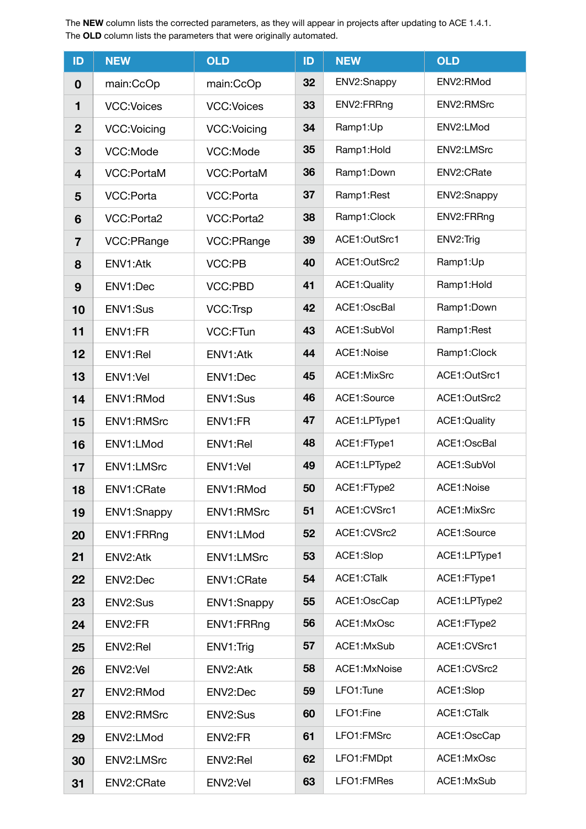The **NEW** column lists the corrected parameters, as they will appear in projects after updating to ACE 1.4.1. The **OLD** column lists the parameters that were originally automated.

| ID               | <b>NEW</b>        | <b>OLD</b>            | ID | <b>NEW</b>   | <b>OLD</b>   |
|------------------|-------------------|-----------------------|----|--------------|--------------|
| $\boldsymbol{0}$ | main:CcOp         | main:CcOp             | 32 | ENV2:Snappy  | ENV2:RMod    |
| 1                | <b>VCC:Voices</b> | <b>VCC:Voices</b>     | 33 | ENV2:FRRng   | ENV2:RMSrc   |
| $\boldsymbol{2}$ | VCC:Voicing       | VCC: Voicing          | 34 | Ramp1:Up     | ENV2:LMod    |
| 3                | VCC:Mode          | VCC:Mode              | 35 | Ramp1:Hold   | ENV2:LMSrc   |
| $\overline{4}$   | <b>VCC:PortaM</b> | VCC:PortaM            | 36 | Ramp1:Down   | ENV2:CRate   |
| 5                | VCC:Porta         | VCC:Porta             | 37 | Ramp1:Rest   | ENV2:Snappy  |
| 6                | VCC:Porta2        | VCC:Porta2            | 38 | Ramp1:Clock  | ENV2:FRRng   |
| $\overline{7}$   | VCC:PRange        | VCC:PRange            | 39 | ACE1:OutSrc1 | ENV2:Trig    |
| 8                | ENV1:Atk          | VCC:PB                | 40 | ACE1:OutSrc2 | Ramp1:Up     |
| 9                | ENV1:Dec          | VCC:PBD               | 41 | ACE1:Quality | Ramp1:Hold   |
| 10               | ENV1:Sus          | VCC:Trsp              | 42 | ACE1:OscBal  | Ramp1:Down   |
| 11               | ENV1:FR           | VCC:FTun              | 43 | ACE1:SubVol  | Ramp1:Rest   |
| 12               | ENV1:Rel          | ENV1:Atk              | 44 | ACE1:Noise   | Ramp1:Clock  |
| 13               | ENV1:Vel          | ENV1:Dec              | 45 | ACE1:MixSrc  | ACE1:OutSrc1 |
| 14               | ENV1:RMod         | ENV1:Sus              | 46 | ACE1:Source  | ACE1:OutSrc2 |
| 15               | ENV1:RMSrc        | ENV1:FR               | 47 | ACE1:LPType1 | ACE1:Quality |
| 16               | ENV1:LMod         | ENV1:Rel              | 48 | ACE1:FType1  | ACE1:OscBal  |
| 17               | ENV1:LMSrc        | ENV1:Vel              | 49 | ACE1:LPType2 | ACE1:SubVol  |
| 18               | ENV1:CRate        | ENV1:RMod             | 50 | ACE1:FType2  | ACE1:Noise   |
| 19               | ENV1:Snappy       | ENV1:RMSrc            | 51 | ACE1:CVSrc1  | ACE1:MixSrc  |
| 20               | ENV1:FRRng        | ENV1:LMod             | 52 | ACE1:CVSrc2  | ACE1:Source  |
| 21               | ENV2:Atk          | ENV1:LMSrc            | 53 | ACE1:Slop    | ACE1:LPType1 |
| 22               | ENV2:Dec          | ENV1:CRate            | 54 | ACE1:CTalk   | ACE1:FType1  |
| 23               | ENV2:Sus          | ENV1:Snappy           | 55 | ACE1:OscCap  | ACE1:LPType2 |
| 24               | ENV2:FR           | ENV1:FRRng            | 56 | ACE1:MxOsc   | ACE1:FType2  |
| 25               | ENV2:Rel          | ENV1: Trig            | 57 | ACE1:MxSub   | ACE1:CVSrc1  |
| 26               | ENV2:Vel          | ENV2:Atk              | 58 | ACE1:MxNoise | ACE1:CVSrc2  |
| 27               | ENV2:RMod         | ENV2:Dec              | 59 | LFO1:Tune    | ACE1:Slop    |
| 28               | ENV2:RMSrc        | ENV2:Sus              | 60 | LFO1:Fine    | ACE1:CTalk   |
| 29               | ENV2:LMod         | ENV2:FR               | 61 | LFO1:FMSrc   | ACE1:OscCap  |
| 30               | ENV2:LMSrc        | ENV <sub>2</sub> :Rel | 62 | LFO1:FMDpt   | ACE1:MxOsc   |
| 31               | ENV2:CRate        | ENV2:Vel              | 63 | LFO1:FMRes   | ACE1:MxSub   |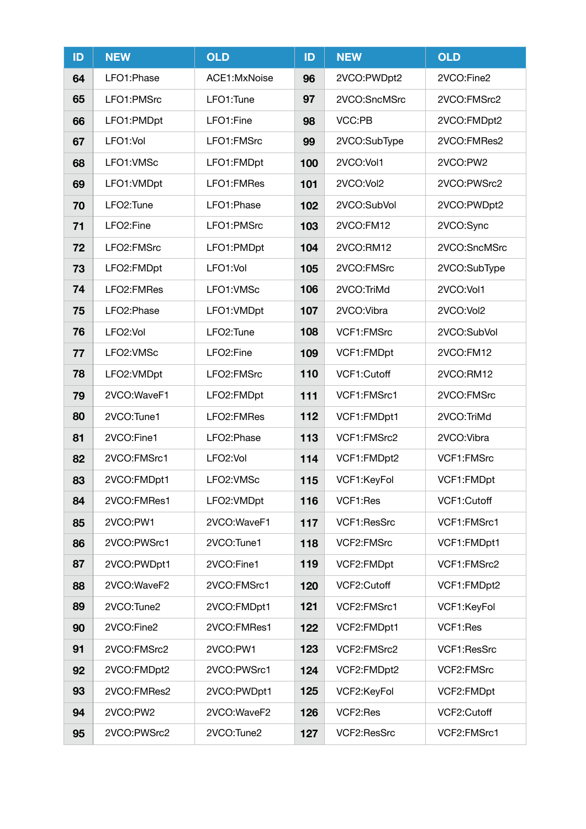| ID | <b>NEW</b>             | <b>OLD</b>             | ID  | <b>NEW</b>   | <b>OLD</b>   |
|----|------------------------|------------------------|-----|--------------|--------------|
| 64 | LFO1:Phase             | ACE1:MxNoise           | 96  | 2VCO:PWDpt2  | 2VCO:Fine2   |
| 65 | LFO1:PMSrc             | LFO1:Tune              | 97  | 2VCO:SncMSrc | 2VCO:FMSrc2  |
| 66 | LFO1:PMDpt             | LFO1:Fine              | 98  | VCC:PB       | 2VCO:FMDpt2  |
| 67 | LFO1:Vol               | LFO1:FMSrc             | 99  | 2VCO:SubType | 2VCO:FMRes2  |
| 68 | LFO1:VMSc              | LFO1:FMDpt             | 100 | 2VCO:Vol1    | 2VCO:PW2     |
| 69 | LFO1:VMDpt             | LFO1:FMRes             | 101 | 2VCO:Vol2    | 2VCO:PWSrc2  |
| 70 | LFO2:Tune              | LFO1:Phase             | 102 | 2VCO:SubVol  | 2VCO:PWDpt2  |
| 71 | LFO <sub>2</sub> :Fine | LFO1:PMSrc             | 103 | 2VCO:FM12    | 2VCO:Sync    |
| 72 | LFO2:FMSrc             | LFO1:PMDpt             | 104 | 2VCO:RM12    | 2VCO:SncMSrc |
| 73 | LFO2:FMDpt             | LFO1:Vol               | 105 | 2VCO:FMSrc   | 2VCO:SubType |
| 74 | LFO2:FMRes             | LFO1:VMSc              | 106 | 2VCO:TriMd   | 2VCO:Vol1    |
| 75 | LFO2:Phase             | LFO1:VMDpt             | 107 | 2VCO:Vibra   | 2VCO:Vol2    |
| 76 | LFO <sub>2</sub> :Vol  | LFO2:Tune              | 108 | VCF1:FMSrc   | 2VCO:SubVol  |
| 77 | LFO2:VMSc              | LFO <sub>2</sub> :Fine | 109 | VCF1:FMDpt   | 2VCO:FM12    |
| 78 | LFO2:VMDpt             | LFO2:FMSrc             | 110 | VCF1:Cutoff  | 2VCO:RM12    |
| 79 | 2VCO:WaveF1            | LFO2:FMDpt             | 111 | VCF1:FMSrc1  | 2VCO:FMSrc   |
| 80 | 2VCO:Tune1             | LFO2:FMRes             | 112 | VCF1:FMDpt1  | 2VCO:TriMd   |
| 81 | 2VCO:Fine1             | LFO2:Phase             | 113 | VCF1:FMSrc2  | 2VCO:Vibra   |
| 82 | 2VCO:FMSrc1            | LFO <sub>2</sub> :Vol  | 114 | VCF1:FMDpt2  | VCF1:FMSrc   |
| 83 | 2VCO:FMDpt1            | LFO2:VMSc              | 115 | VCF1:KeyFol  | VCF1:FMDpt   |
| 84 | 2VCO:FMRes1            | LFO2:VMDpt             | 116 | VCF1:Res     | VCF1:Cutoff  |
| 85 | 2VCO:PW1               | 2VCO: WaveF1           | 117 | VCF1:ResSrc  | VCF1:FMSrc1  |
| 86 | 2VCO:PWSrc1            | 2VCO:Tune1             | 118 | VCF2:FMSrc   | VCF1:FMDpt1  |
| 87 | 2VCO:PWDpt1            | 2VCO:Fine1             | 119 | VCF2:FMDpt   | VCF1:FMSrc2  |
| 88 | 2VCO:WaveF2            | 2VCO:FMSrc1            | 120 | VCF2:Cutoff  | VCF1:FMDpt2  |
| 89 | 2VCO:Tune2             | 2VCO:FMDpt1            | 121 | VCF2:FMSrc1  | VCF1:KeyFol  |
| 90 | 2VCO:Fine2             | 2VCO:FMRes1            | 122 | VCF2:FMDpt1  | VCF1:Res     |
| 91 | 2VCO:FMSrc2            | 2VCO:PW1               | 123 | VCF2:FMSrc2  | VCF1:ResSrc  |
| 92 | 2VCO:FMDpt2            | 2VCO:PWSrc1            | 124 | VCF2:FMDpt2  | VCF2:FMSrc   |
| 93 | 2VCO:FMRes2            | 2VCO:PWDpt1            | 125 | VCF2:KeyFol  | VCF2:FMDpt   |
| 94 | 2VCO:PW2               | 2VCO:WaveF2            | 126 | VCF2:Res     | VCF2:Cutoff  |
| 95 | 2VCO:PWSrc2            | 2VCO:Tune2             | 127 | VCF2:ResSrc  | VCF2:FMSrc1  |